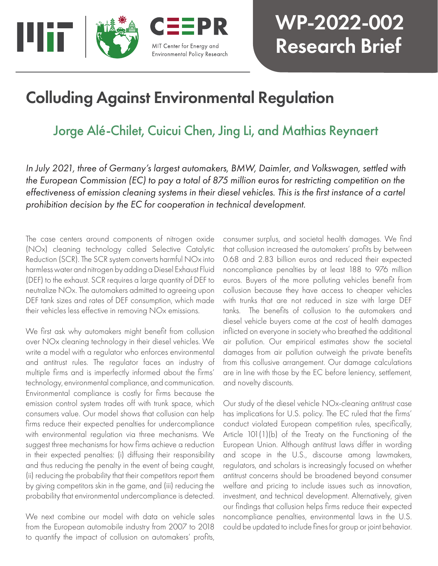

# WP-2022-002 Research Brief

## Colluding Against Environmental Regulation

## Jorge Alé-Chilet, Cuicui Chen, Jing Li, and Mathias Reynaert

*In July 2021, three of Germany's largest automakers, BMW, Daimler, and Volkswagen, settled with the European Commission (EC) to pay a total of 875 million euros for restricting competition on the effectiveness of emission cleaning systems in their diesel vehicles. This is the first instance of a cartel prohibition decision by the EC for cooperation in technical development.*

The case centers around components of nitrogen oxide (NOx) cleaning technology called Selective Catalytic Reduction (SCR). The SCR system converts harmful NOx into harmless water and nitrogen by adding a Diesel Exhaust Fluid (DEF) to the exhaust. SCR requires a large quantity of DEF to neutralize NOx. The automakers admitted to agreeing upon DEF tank sizes and rates of DEF consumption, which made their vehicles less effective in removing NOx emissions.

We first ask why automakers might benefit from collusion over NOx cleaning technology in their diesel vehicles. We write a model with a regulator who enforces environmental and antitrust rules. The regulator faces an industry of multiple firms and is imperfectly informed about the firms' technology, environmental compliance, and communication. Environmental compliance is costly for firms because the emission control system trades off with trunk space, which consumers value. Our model shows that collusion can help firms reduce their expected penalties for undercompliance with environmental regulation via three mechanisms. We suggest three mechanisms for how firms achieve a reduction in their expected penalties: (i) diffusing their responsibility and thus reducing the penalty in the event of being caught, (ii) reducing the probability that their competitors report them by giving competitors skin in the game, and (iii) reducing the probability that environmental undercompliance is detected.

We next combine our model with data on vehicle sales from the European automobile industry from 2007 to 2018 to quantify the impact of collusion on automakers' profits,

consumer surplus, and societal health damages. We find that collusion increased the automakers' profits by between 0.68 and 2.83 billion euros and reduced their expected noncompliance penalties by at least 188 to 976 million euros. Buyers of the more polluting vehicles benefit from collusion because they have access to cheaper vehicles with trunks that are not reduced in size with large DEF tanks. The benefits of collusion to the automakers and diesel vehicle buyers come at the cost of health damages inflicted on everyone in society who breathed the additional air pollution. Our empirical estimates show the societal damages from air pollution outweigh the private benefits from this collusive arrangement. Our damage calculations are in line with those by the EC before leniency, settlement, and novelty discounts.

Our study of the diesel vehicle NOx-cleaning antitrust case has implications for U.S. policy. The EC ruled that the firms' conduct violated European competition rules, specifically, Article 101(1)(b) of the Treaty on the Functioning of the European Union. Although antitrust laws differ in wording and scope in the U.S., discourse among lawmakers, regulators, and scholars is increasingly focused on whether antitrust concerns should be broadened beyond consumer welfare and pricing to include issues such as innovation, investment, and technical development. Alternatively, given our findings that collusion helps firms reduce their expected noncompliance penalties, environmental laws in the U.S. could be updated to include fines for group or joint behavior.